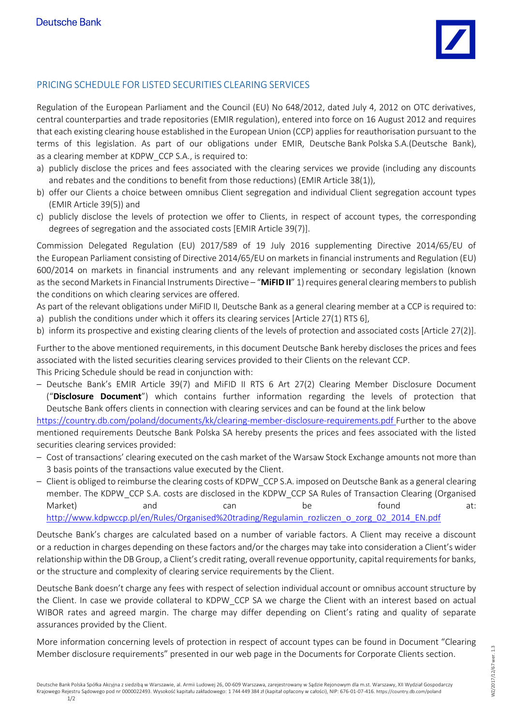

## PRICING SCHEDULE FOR LISTED SECURITIES CLEARING SERVICES

Regulation of the European Parliament and the Council (EU) No 648/2012, dated July 4, 2012 on OTC derivatives, central counterparties and trade repositories (EMIR regulation), entered into force on 16 August 2012 and requires that each existing clearing house established in the European Union (CCP) applies for reauthorisation pursuant to the terms of this legislation. As part of our obligations under EMIR, Deutsche Bank Polska S.A.(Deutsche Bank), as a clearing member at KDPW CCP S.A., is required to:

- a) publicly disclose the prices and fees associated with the clearing services we provide (including any discounts and rebates and the conditions to benefit from those reductions) (EMIR Article 38(1)),
- b) offer our Clients a choice between omnibus Client segregation and individual Client segregation account types (EMIR Article 39(5)) and
- c) publicly disclose the levels of protection we offer to Clients, in respect of account types, the corresponding degrees of segregation and the associated costs [EMIR Article 39(7)].

Commission Delegated Regulation (EU) 2017/589 of 19 July 2016 supplementing Directive 2014/65/EU of the European Parliament consisting of Directive 2014/65/EU on markets in financial instruments and Regulation (EU) 600/2014 on markets in financial instruments and any relevant implementing or secondary legislation (known as the second Markets in Financial Instruments Directive – "**MiFID II**" 1) requires general clearing members to publish the conditions on which clearing services are offered.

As part of the relevant obligations under MiFID II, Deutsche Bank as a general clearing member at a CCP is required to: a) publish the conditions under which it offers its clearing services [Article 27(1) RTS 6],

b) inform its prospective and existing clearing clients of the levels of protection and associated costs [Article 27(2)].

Further to the above mentioned requirements, in this document Deutsche Bank hereby discloses the prices and fees associated with the listed securities clearing services provided to their Clients on the relevant CCP. This Pricing Schedule should be read in conjunction with:

– Deutsche Bank's EMIR Article 39(7) and MiFID II RTS 6 Art 27(2) Clearing Member Disclosure Document ("**Disclosure Document**") which contains further information regarding the levels of protection that Deutsche Bank offers clients in connection with clearing services and can be found at the link below

https://country.db.com/poland/documents/kk/clearing-member-disclosure-requirements.pdf Further to the above mentioned requirements Deutsche Bank Polska SA hereby presents the prices and fees associated with the listed securities clearing services provided:

- Cost of transactions' clearing executed on the cash market of the Warsaw Stock Exchange amounts not more than 3 basis points of the transactions value executed by the Client.
- Client is obliged to reimburse the clearing costs of KDPW\_CCP S.A. imposed on Deutsche Bank as a general clearing member. The KDPW\_CCP S.A. costs are disclosed in the KDPW\_CCP SA Rules of Transaction Clearing (Organised Market) and can be found at: http://www.kdpwccp.pl/en/Rules/Organised%20trading/Regulamin\_rozliczen\_o\_zorg\_02\_2014\_EN.pdf

Deutsche Bank's charges are calculated based on a number of variable factors. A Client may receive a discount or a reduction in charges depending on these factors and/or the charges may take into consideration a Client's wider relationship within the DB Group, a Client's credit rating, overall revenue opportunity, capital requirements for banks, or the structure and complexity of clearing service requirements by the Client.

Deutsche Bank doesn't charge any fees with respect of selection individual account or omnibus account structure by the Client. In case we provide collateral to KDPW\_CCP SA we charge the Client with an interest based on actual WIBOR rates and agreed margin. The charge may differ depending on Client's rating and quality of separate assurances provided by the Client.

More information concerning levels of protection in respect of account types can be found in Document "Clearing Member disclosure requirements" presented in our web page in the Documents for Corporate Clients section.